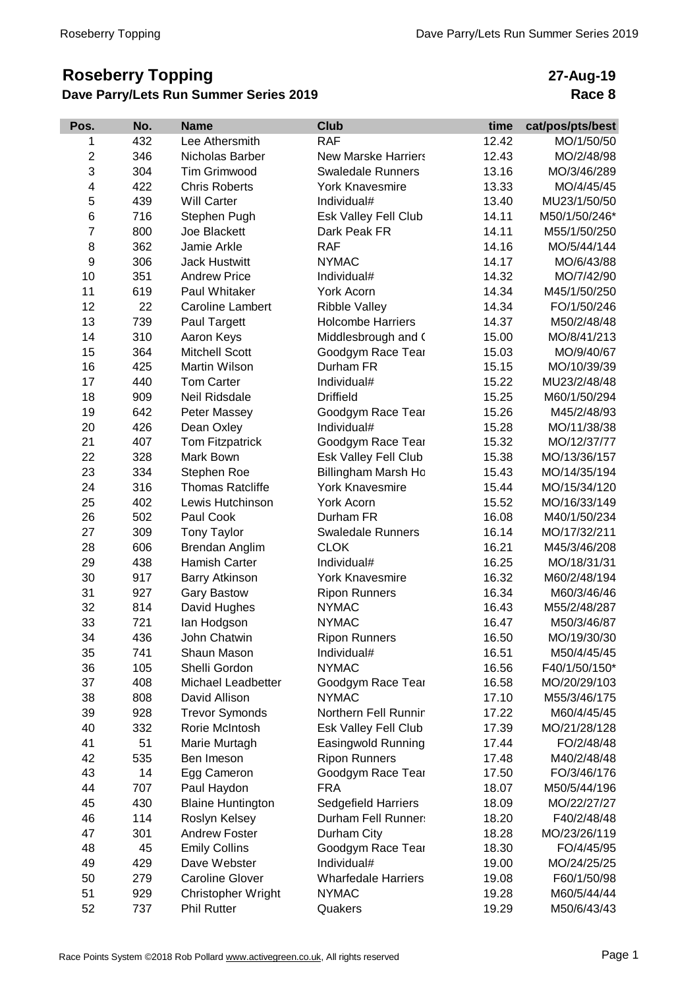## **Roseberry Topping Dave Parry/Lets Run Summer Series 2019**

## **27-Aug-19 Race 8**

| Pos.           | No. | <b>Name</b>              | <b>Club</b>                | time  | cat/pos/pts/best |
|----------------|-----|--------------------------|----------------------------|-------|------------------|
| 1              | 432 | Lee Athersmith           | <b>RAF</b>                 | 12.42 | MO/1/50/50       |
| $\overline{2}$ | 346 | Nicholas Barber          | <b>New Marske Harriers</b> | 12.43 | MO/2/48/98       |
| 3              | 304 | <b>Tim Grimwood</b>      | <b>Swaledale Runners</b>   | 13.16 | MO/3/46/289      |
| 4              | 422 | <b>Chris Roberts</b>     | <b>York Knavesmire</b>     | 13.33 | MO/4/45/45       |
| 5              | 439 | <b>Will Carter</b>       | Individual#                | 13.40 | MU23/1/50/50     |
| 6              | 716 | Stephen Pugh             | Esk Valley Fell Club       | 14.11 | M50/1/50/246*    |
| 7              | 800 | Joe Blackett             | Dark Peak FR               | 14.11 | M55/1/50/250     |
| 8              | 362 | Jamie Arkle              | <b>RAF</b>                 | 14.16 | MO/5/44/144      |
| 9              | 306 | <b>Jack Hustwitt</b>     | <b>NYMAC</b>               | 14.17 | MO/6/43/88       |
| 10             | 351 | <b>Andrew Price</b>      | Individual#                | 14.32 | MO/7/42/90       |
| 11             | 619 | Paul Whitaker            | York Acorn                 | 14.34 | M45/1/50/250     |
| 12             | 22  | <b>Caroline Lambert</b>  | <b>Ribble Valley</b>       | 14.34 | FO/1/50/246      |
| 13             | 739 | Paul Targett             | <b>Holcombe Harriers</b>   | 14.37 | M50/2/48/48      |
| 14             | 310 | Aaron Keys               | Middlesbrough and (        | 15.00 | MO/8/41/213      |
| 15             | 364 | <b>Mitchell Scott</b>    | Goodgym Race Tear          | 15.03 | MO/9/40/67       |
| 16             | 425 | Martin Wilson            | Durham FR                  | 15.15 | MO/10/39/39      |
| 17             | 440 | <b>Tom Carter</b>        | Individual#                | 15.22 | MU23/2/48/48     |
| 18             | 909 | Neil Ridsdale            | <b>Driffield</b>           | 15.25 | M60/1/50/294     |
| 19             | 642 | Peter Massey             | Goodgym Race Tear          | 15.26 | M45/2/48/93      |
| 20             | 426 | Dean Oxley               | Individual#                | 15.28 | MO/11/38/38      |
| 21             | 407 | <b>Tom Fitzpatrick</b>   | Goodgym Race Tear          | 15.32 | MO/12/37/77      |
| 22             | 328 | Mark Bown                | Esk Valley Fell Club       | 15.38 | MO/13/36/157     |
| 23             | 334 | Stephen Roe              | Billingham Marsh Ho        | 15.43 | MO/14/35/194     |
| 24             | 316 | <b>Thomas Ratcliffe</b>  | <b>York Knavesmire</b>     | 15.44 | MO/15/34/120     |
| 25             | 402 | Lewis Hutchinson         | York Acorn                 | 15.52 | MO/16/33/149     |
| 26             | 502 | Paul Cook                | Durham FR                  | 16.08 | M40/1/50/234     |
| 27             | 309 | <b>Tony Taylor</b>       | <b>Swaledale Runners</b>   | 16.14 | MO/17/32/211     |
| 28             | 606 | Brendan Anglim           | <b>CLOK</b>                | 16.21 | M45/3/46/208     |
| 29             | 438 | Hamish Carter            | Individual#                | 16.25 | MO/18/31/31      |
| 30             | 917 | <b>Barry Atkinson</b>    | <b>York Knavesmire</b>     | 16.32 | M60/2/48/194     |
| 31             | 927 | <b>Gary Bastow</b>       | <b>Ripon Runners</b>       | 16.34 | M60/3/46/46      |
| 32             | 814 | David Hughes             | <b>NYMAC</b>               | 16.43 | M55/2/48/287     |
| 33             | 721 | lan Hodgson              | <b>NYMAC</b>               | 16.47 | M50/3/46/87      |
| 34             | 436 | John Chatwin             | <b>Ripon Runners</b>       | 16.50 | MO/19/30/30      |
| 35             | 741 | Shaun Mason              | Individual#                | 16.51 | M50/4/45/45      |
| 36             | 105 | Shelli Gordon            | <b>NYMAC</b>               | 16.56 | F40/1/50/150*    |
| 37             | 408 | Michael Leadbetter       | Goodgym Race Tear          | 16.58 | MO/20/29/103     |
| 38             | 808 | David Allison            | <b>NYMAC</b>               | 17.10 | M55/3/46/175     |
| 39             | 928 | <b>Trevor Symonds</b>    | Northern Fell Runnir       | 17.22 | M60/4/45/45      |
| 40             | 332 | Rorie McIntosh           | Esk Valley Fell Club       | 17.39 | MO/21/28/128     |
| 41             | 51  | Marie Murtagh            | Easingwold Running         | 17.44 | FO/2/48/48       |
| 42             | 535 | Ben Imeson               | <b>Ripon Runners</b>       | 17.48 | M40/2/48/48      |
| 43             | 14  | Egg Cameron              | Goodgym Race Tear          | 17.50 | FO/3/46/176      |
| 44             | 707 | Paul Haydon              | <b>FRA</b>                 | 18.07 | M50/5/44/196     |
| 45             | 430 | <b>Blaine Huntington</b> | Sedgefield Harriers        | 18.09 | MO/22/27/27      |
| 46             | 114 | Roslyn Kelsey            | Durham Fell Runner:        | 18.20 | F40/2/48/48      |
| 47             | 301 | <b>Andrew Foster</b>     | Durham City                | 18.28 | MO/23/26/119     |
| 48             | 45  | <b>Emily Collins</b>     | Goodgym Race Tear          | 18.30 | FO/4/45/95       |
| 49             | 429 | Dave Webster             | Individual#                | 19.00 | MO/24/25/25      |
| 50             | 279 | <b>Caroline Glover</b>   | <b>Wharfedale Harriers</b> | 19.08 | F60/1/50/98      |
| 51             | 929 | Christopher Wright       | <b>NYMAC</b>               | 19.28 | M60/5/44/44      |
| 52             | 737 | <b>Phil Rutter</b>       | Quakers                    | 19.29 | M50/6/43/43      |